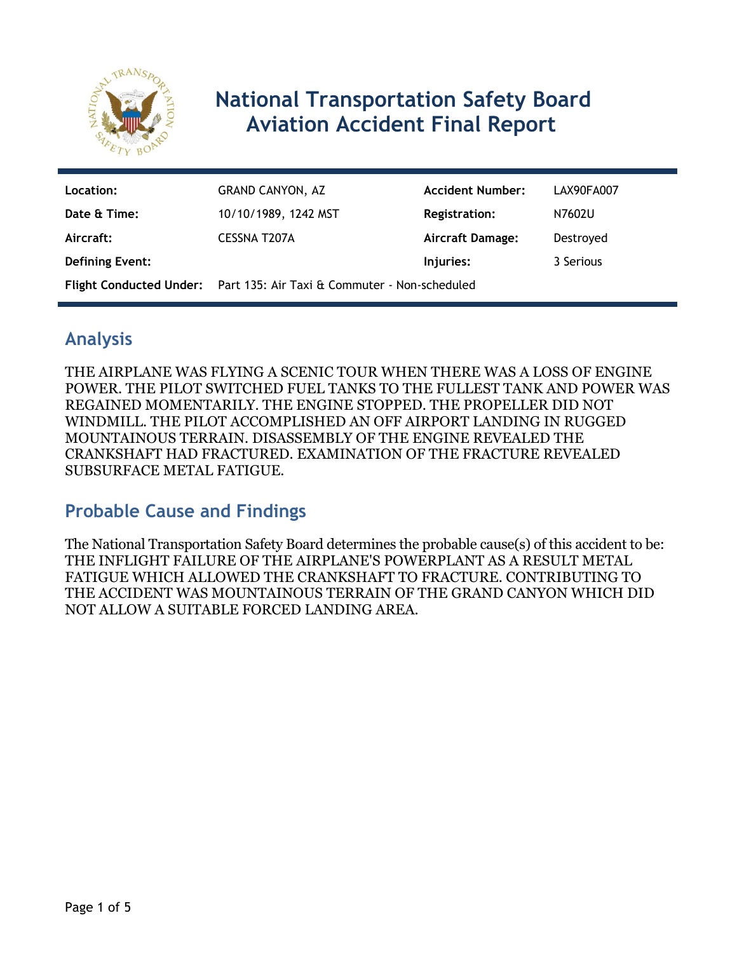

# **National Transportation Safety Board Aviation Accident Final Report**

| Location:              | GRAND CANYON, AZ                                                             | <b>Accident Number:</b> | LAX90FA007 |
|------------------------|------------------------------------------------------------------------------|-------------------------|------------|
| Date & Time:           | 10/10/1989, 1242 MST                                                         | <b>Registration:</b>    | N7602U     |
| Aircraft:              | CESSNA T207A                                                                 | <b>Aircraft Damage:</b> | Destroyed  |
| <b>Defining Event:</b> |                                                                              | Injuries:               | 3 Serious  |
|                        | <b>Flight Conducted Under:</b> Part 135: Air Taxi & Commuter - Non-scheduled |                         |            |

### **Analysis**

THE AIRPLANE WAS FLYING A SCENIC TOUR WHEN THERE WAS A LOSS OF ENGINE POWER. THE PILOT SWITCHED FUEL TANKS TO THE FULLEST TANK AND POWER WAS REGAINED MOMENTARILY. THE ENGINE STOPPED. THE PROPELLER DID NOT WINDMILL. THE PILOT ACCOMPLISHED AN OFF AIRPORT LANDING IN RUGGED MOUNTAINOUS TERRAIN. DISASSEMBLY OF THE ENGINE REVEALED THE CRANKSHAFT HAD FRACTURED. EXAMINATION OF THE FRACTURE REVEALED SUBSURFACE METAL FATIGUE.

### **Probable Cause and Findings**

The National Transportation Safety Board determines the probable cause(s) of this accident to be: THE INFLIGHT FAILURE OF THE AIRPLANE'S POWERPLANT AS A RESULT METAL FATIGUE WHICH ALLOWED THE CRANKSHAFT TO FRACTURE. CONTRIBUTING TO THE ACCIDENT WAS MOUNTAINOUS TERRAIN OF THE GRAND CANYON WHICH DID NOT ALLOW A SUITABLE FORCED LANDING AREA.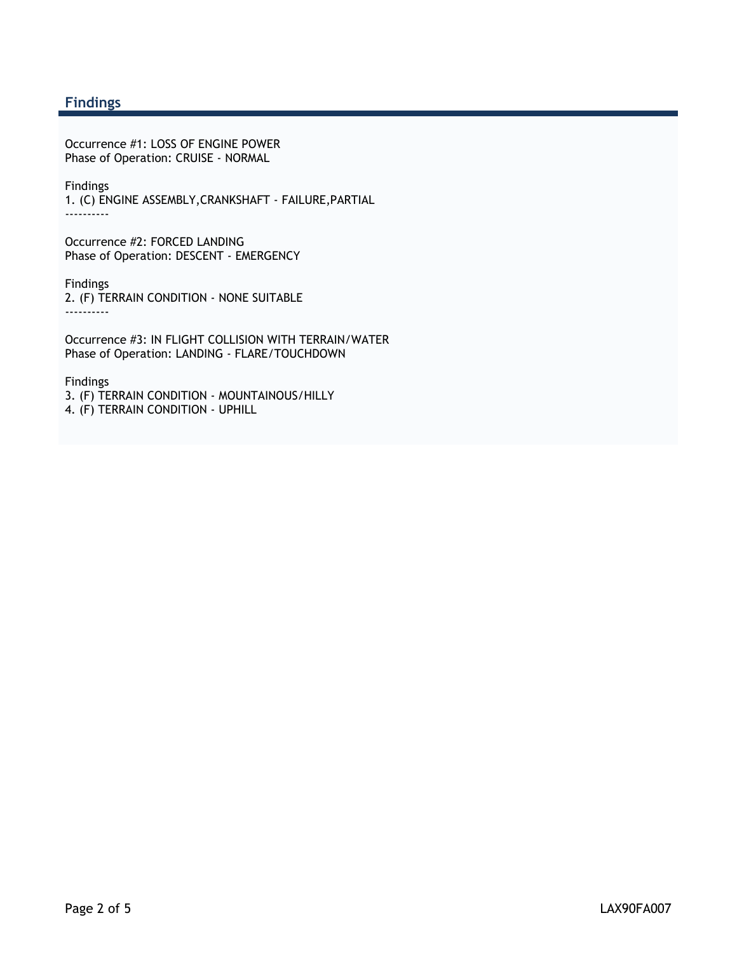#### **Findings**

Occurrence #1: LOSS OF ENGINE POWER Phase of Operation: CRUISE - NORMAL

Findings 1. (C) ENGINE ASSEMBLY,CRANKSHAFT - FAILURE,PARTIAL ----------

Occurrence #2: FORCED LANDING Phase of Operation: DESCENT - EMERGENCY

Findings 2. (F) TERRAIN CONDITION - NONE SUITABLE ----------

Occurrence #3: IN FLIGHT COLLISION WITH TERRAIN/WATER Phase of Operation: LANDING - FLARE/TOUCHDOWN

Findings 3. (F) TERRAIN CONDITION - MOUNTAINOUS/HILLY 4. (F) TERRAIN CONDITION - UPHILL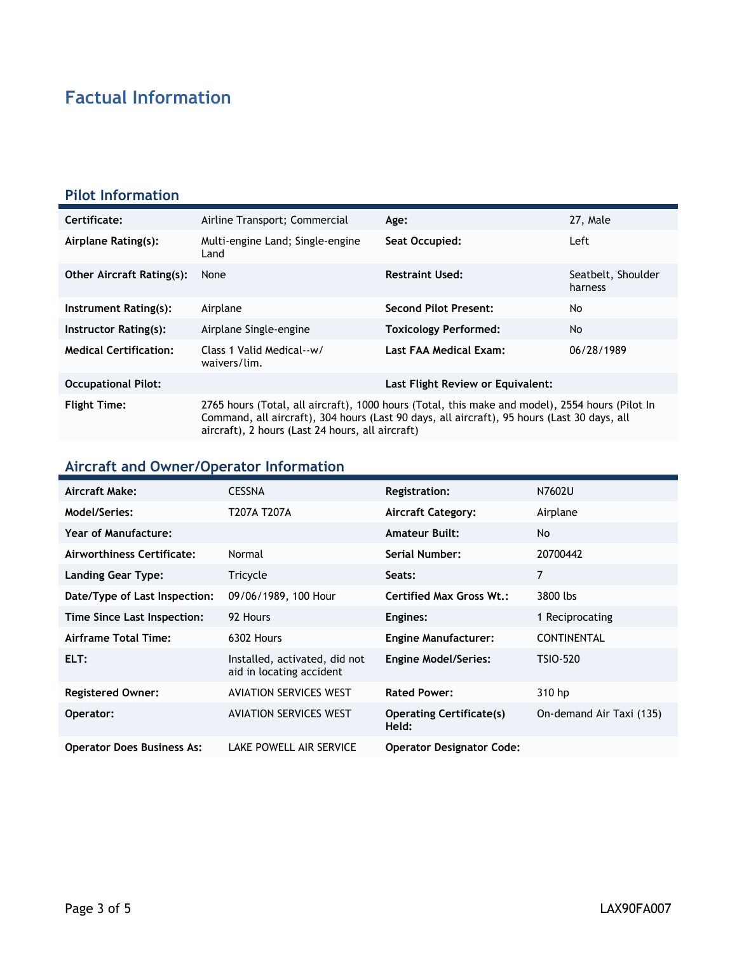## **Factual Information**

#### **Pilot Information**

| Certificate:                     | Airline Transport; Commercial                                                                                                                                                                                                                      | Age:                              | 27, Male                      |
|----------------------------------|----------------------------------------------------------------------------------------------------------------------------------------------------------------------------------------------------------------------------------------------------|-----------------------------------|-------------------------------|
| Airplane Rating(s):              | Multi-engine Land; Single-engine<br>Land                                                                                                                                                                                                           | Seat Occupied:                    | Left                          |
| <b>Other Aircraft Rating(s):</b> | None                                                                                                                                                                                                                                               | <b>Restraint Used:</b>            | Seatbelt, Shoulder<br>harness |
| Instrument Rating(s):            | Airplane                                                                                                                                                                                                                                           | Second Pilot Present:             | No                            |
| Instructor Rating(s):            | Airplane Single-engine                                                                                                                                                                                                                             | <b>Toxicology Performed:</b>      | <b>No</b>                     |
| <b>Medical Certification:</b>    | Class 1 Valid Medical--w/<br>waivers/lim.                                                                                                                                                                                                          | Last FAA Medical Exam:            | 06/28/1989                    |
| <b>Occupational Pilot:</b>       |                                                                                                                                                                                                                                                    | Last Flight Review or Equivalent: |                               |
| <b>Flight Time:</b>              | 2765 hours (Total, all aircraft), 1000 hours (Total, this make and model), 2554 hours (Pilot In<br>Command, all aircraft), 304 hours (Last 90 days, all aircraft), 95 hours (Last 30 days, all<br>aircraft), 2 hours (Last 24 hours, all aircraft) |                                   |                               |

### **Aircraft and Owner/Operator Information**

| Aircraft Make:                    | <b>CESSNA</b>                                             | <b>Registration:</b>                     | N7602U                   |
|-----------------------------------|-----------------------------------------------------------|------------------------------------------|--------------------------|
| Model/Series:                     | T207A T207A                                               | <b>Aircraft Category:</b>                | Airplane                 |
| <b>Year of Manufacture:</b>       |                                                           | <b>Amateur Built:</b>                    | No.                      |
| Airworthiness Certificate:        | Normal                                                    | Serial Number:                           | 20700442                 |
| <b>Landing Gear Type:</b>         | Tricycle                                                  | Seats:                                   | 7                        |
| Date/Type of Last Inspection:     | 09/06/1989, 100 Hour                                      | <b>Certified Max Gross Wt.:</b>          | 3800 lbs                 |
| Time Since Last Inspection:       | 92 Hours                                                  | Engines:                                 | 1 Reciprocating          |
| Airframe Total Time:              | 6302 Hours                                                | <b>Engine Manufacturer:</b>              | <b>CONTINENTAL</b>       |
| ELT:                              | Installed, activated, did not<br>aid in locating accident | <b>Engine Model/Series:</b>              | <b>TSIO-520</b>          |
| <b>Registered Owner:</b>          | <b>AVIATION SERVICES WEST</b>                             | <b>Rated Power:</b>                      | 310 hp                   |
| Operator:                         | <b>AVIATION SERVICES WEST</b>                             | <b>Operating Certificate(s)</b><br>Held: | On-demand Air Taxi (135) |
| <b>Operator Does Business As:</b> | LAKE POWELL AIR SERVICE                                   | <b>Operator Designator Code:</b>         |                          |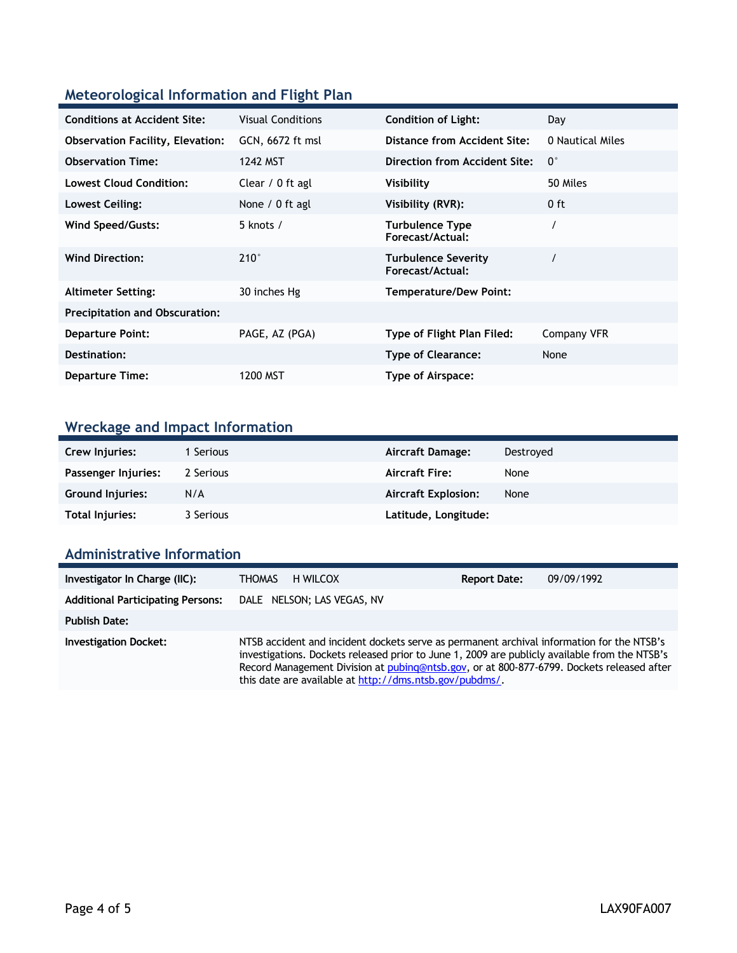#### **Meteorological Information and Flight Plan**

| <b>Conditions at Accident Site:</b>     | <b>Visual Conditions</b> | <b>Condition of Light:</b>                     | Day              |
|-----------------------------------------|--------------------------|------------------------------------------------|------------------|
| <b>Observation Facility, Elevation:</b> | GCN, 6672 ft msl         | Distance from Accident Site:                   | 0 Nautical Miles |
| <b>Observation Time:</b>                | 1242 MST                 | <b>Direction from Accident Site:</b>           | $0^{\circ}$      |
| <b>Lowest Cloud Condition:</b>          | Clear / 0 ft agl         | <b>Visibility</b>                              | 50 Miles         |
| Lowest Ceiling:                         | None $/ 0$ ft agl        | Visibility (RVR):                              | 0 ft             |
| <b>Wind Speed/Gusts:</b>                | 5 knots /                | <b>Turbulence Type</b><br>Forecast/Actual:     |                  |
| <b>Wind Direction:</b>                  | $210^\circ$              | <b>Turbulence Severity</b><br>Forecast/Actual: |                  |
| <b>Altimeter Setting:</b>               | 30 inches Hg             | <b>Temperature/Dew Point:</b>                  |                  |
| <b>Precipitation and Obscuration:</b>   |                          |                                                |                  |
| <b>Departure Point:</b>                 | PAGE, AZ (PGA)           | Type of Flight Plan Filed:                     | Company VFR      |
| Destination:                            |                          | <b>Type of Clearance:</b>                      | None             |
| <b>Departure Time:</b>                  | 1200 MST                 | Type of Airspace:                              |                  |

### **Wreckage and Impact Information**

| Crew Injuries:      | 1 Serious | Aircraft Damage:           | Destroyed |
|---------------------|-----------|----------------------------|-----------|
| Passenger Injuries: | 2 Serious | <b>Aircraft Fire:</b>      | None      |
| Ground Injuries:    | N/A       | <b>Aircraft Explosion:</b> | None      |
| Total Injuries:     | 3 Serious | Latitude, Longitude:       |           |

#### **Administrative Information**

| Investigator In Charge (IIC):            | H WILCOX<br>THOMAS                                                                                                                                                                                                                                                                                                                                 | <b>Report Date:</b> | 09/09/1992 |
|------------------------------------------|----------------------------------------------------------------------------------------------------------------------------------------------------------------------------------------------------------------------------------------------------------------------------------------------------------------------------------------------------|---------------------|------------|
| <b>Additional Participating Persons:</b> | DALE NELSON; LAS VEGAS, NV                                                                                                                                                                                                                                                                                                                         |                     |            |
| <b>Publish Date:</b>                     |                                                                                                                                                                                                                                                                                                                                                    |                     |            |
| <b>Investigation Docket:</b>             | NTSB accident and incident dockets serve as permanent archival information for the NTSB's<br>investigations. Dockets released prior to June 1, 2009 are publicly available from the NTSB's<br>Record Management Division at pubing@ntsb.gov, or at 800-877-6799. Dockets released after<br>this date are available at http://dms.ntsb.gov/pubdms/. |                     |            |